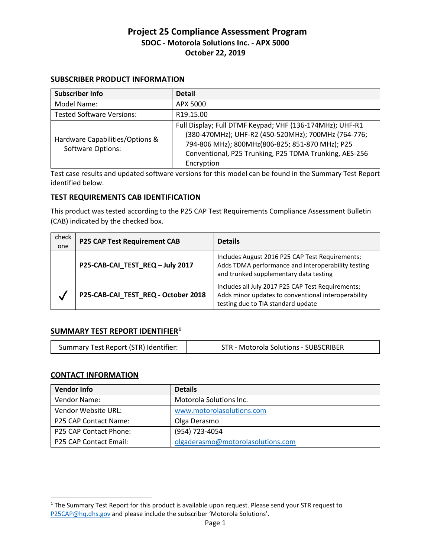# **Project 25 Compliance Assessment Program SDOC - Motorola Solutions Inc. - APX 5000 October 22, 2019**

# **SUBSCRIBER PRODUCT INFORMATION**

| Subscriber Info                                             | <b>Detail</b>                                                                                                                                                                                                                              |
|-------------------------------------------------------------|--------------------------------------------------------------------------------------------------------------------------------------------------------------------------------------------------------------------------------------------|
| Model Name:                                                 | APX 5000                                                                                                                                                                                                                                   |
| <b>Tested Software Versions:</b>                            | R <sub>19.15.00</sub>                                                                                                                                                                                                                      |
| Hardware Capabilities/Options &<br><b>Software Options:</b> | Full Display; Full DTMF Keypad; VHF (136-174MHz); UHF-R1<br>(380-470MHz); UHF-R2 (450-520MHz); 700MHz (764-776;<br>794-806 MHz); 800MHz(806-825; 851-870 MHz); P25<br>Conventional, P25 Trunking, P25 TDMA Trunking, AES-256<br>Encryption |

Test case results and updated software versions for this model can be found in the Summary Test Report identified below.

# **TEST REQUIREMENTS CAB IDENTIFICATION**

This product was tested according to the P25 CAP Test Requirements Compliance Assessment Bulletin (CAB) indicated by the checked box.

| check<br>one | <b>P25 CAP Test Requirement CAB</b> | <b>Details</b>                                                                                                                                  |
|--------------|-------------------------------------|-------------------------------------------------------------------------------------------------------------------------------------------------|
|              | P25-CAB-CAI_TEST_REQ - July 2017    | Includes August 2016 P25 CAP Test Requirements;<br>Adds TDMA performance and interoperability testing<br>and trunked supplementary data testing |
| V            | P25-CAB-CAI_TEST_REQ - October 2018 | Includes all July 2017 P25 CAP Test Requirements;<br>Adds minor updates to conventional interoperability<br>testing due to TIA standard update  |

# **SUMMARY TEST REPORT IDENTIFIER[1](#page-0-0)**

|--|

# **CONTACT INFORMATION**

 $\overline{a}$ 

| <b>Vendor Info</b>     | <b>Details</b>                    |
|------------------------|-----------------------------------|
| Vendor Name:           | Motorola Solutions Inc.           |
| Vendor Website URL:    | www.motorolasolutions.com         |
| P25 CAP Contact Name:  | Olga Derasmo                      |
| P25 CAP Contact Phone: | (954) 723-4054                    |
| P25 CAP Contact Email: | olgaderasmo@motorolasolutions.com |

<span id="page-0-0"></span> $<sup>1</sup>$  The Summary Test Report for this product is available upon request. Please send your STR request to</sup> [P25CAP@hq.dhs.gov](mailto:P25CAP@hq.dhs.gov) and please include the subscriber 'Motorola Solutions'.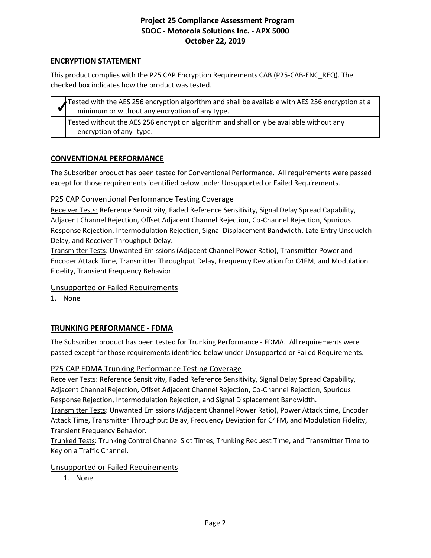# **ENCRYPTION STATEMENT**

 This product complies with the P25 CAP Encryption Requirements CAB (P25-CAB-ENC\_REQ). The checked box indicates how the product was tested.

| Tested with the AES 256 encryption algorithm and shall be available with AES 256 encryption at a<br>minimum or without any encryption of any type. |
|----------------------------------------------------------------------------------------------------------------------------------------------------|
| Tested without the AES 256 encryption algorithm and shall only be available without any<br>encryption of any type.                                 |

# **CONVENTIONAL PERFORMANCE**

 except for those requirements identified below under Unsupported or Failed Requirements. The Subscriber product has been tested for Conventional Performance. All requirements were passed

# P25 CAP Conventional Performance Testing Coverage

 Adjacent Channel Rejection, Offset Adjacent Channel Rejection, Co-Channel Rejection, Spurious Receiver Tests: Reference Sensitivity, Faded Reference Sensitivity, Signal Delay Spread Capability, Response Rejection, Intermodulation Rejection, Signal Displacement Bandwidth, Late Entry Unsquelch Delay, and Receiver Throughput Delay.

 Encoder Attack Time, Transmitter Throughput Delay, Frequency Deviation for C4FM, and Modulation Transmitter Tests: Unwanted Emissions (Adjacent Channel Power Ratio), Transmitter Power and Fidelity, Transient Frequency Behavior.

# Unsupported or Failed Requirements

1. None

# **TRUNKING PERFORMANCE - FDMA**

 passed except for those requirements identified below under Unsupported or Failed Requirements. The Subscriber product has been tested for Trunking Performance - FDMA. All requirements were

# P25 CAP FDMA Trunking Performance Testing Coverage

 Adjacent Channel Rejection, Offset Adjacent Channel Rejection, Co-Channel Rejection, Spurious Receiver Tests: Reference Sensitivity, Faded Reference Sensitivity, Signal Delay Spread Capability, Response Rejection, Intermodulation Rejection, and Signal Displacement Bandwidth.

 Transmitter Tests: Unwanted Emissions (Adjacent Channel Power Ratio), Power Attack time, Encoder Attack Time, Transmitter Throughput Delay, Frequency Deviation for C4FM, and Modulation Fidelity, Transient Frequency Behavior.

Transient Frequency Behavior.<br><u>Trunked Tests</u>: Trunking Control Channel Slot Times, Trunking Request Time, and Transmitter Time to Key on a Traffic Channel.

# Unsupported or Failed Requirements

1. None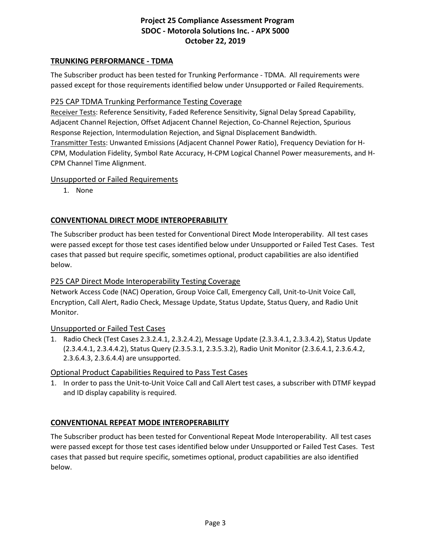# **TRUNKING PERFORMANCE - TDMA**

 passed except for those requirements identified below under Unsupported or Failed Requirements. The Subscriber product has been tested for Trunking Performance - TDMA. All requirements were

# P25 CAP TDMA Trunking Performance Testing Coverage

 Adjacent Channel Rejection, Offset Adjacent Channel Rejection, Co-Channel Rejection, Spurious Receiver Tests: Reference Sensitivity, Faded Reference Sensitivity, Signal Delay Spread Capability, Response Rejection, Intermodulation Rejection, and Signal Displacement Bandwidth. Transmitter Tests: Unwanted Emissions (Adjacent Channel Power Ratio), Frequency Deviation for H-CPM, Modulation Fidelity, Symbol Rate Accuracy, H-CPM Logical Channel Power measurements, and H-CPM Channel Time Alignment.

# Unsupported or Failed Requirements

1. None

# **CONVENTIONAL DIRECT MODE INTEROPERABILITY**

 The Subscriber product has been tested for Conventional Direct Mode Interoperability. All test cases were passed except for those test cases identified below under Unsupported or Failed Test Cases. Test cases that passed but require specific, sometimes optional, product capabilities are also identified below.

# P25 CAP Direct Mode Interoperability Testing Coverage

Network Access Code (NAC) Operation, Group Voice Call, Emergency Call, Unit-to-Unit Voice Call, Encryption, Call Alert, Radio Check, Message Update, Status Update, Status Query, and Radio Unit Monitor.

# Unsupported or Failed Test Cases

 1. Radio Check (Test Cases 2.3.2.4.1, 2.3.2.4.2), Message Update (2.3.3.4.1, 2.3.3.4.2), Status Update 2.3.6.4.3, 2.3.6.4.4) are unsupported. (2.3.4.4.1, 2.3.4.4.2), Status Query (2.3.5.3.1, 2.3.5.3.2), Radio Unit Monitor (2.3.6.4.1, 2.3.6.4.2,

# 2.3.6.4.3, 2.3.6.4.4) are unsupported. Optional Product Capabilities Required to Pass Test Cases

 and ID display capability is required. 1. In order to pass the Unit-to-Unit Voice Call and Call Alert test cases, a subscriber with DTMF keypad

# **CONVENTIONAL REPEAT MODE INTEROPERABILITY**

The Subscriber product has been tested for Conventional Repeat Mode Interoperability. All test cases were passed except for those test cases identified below under Unsupported or Failed Test Cases. Test cases that passed but require specific, sometimes optional, product capabilities are also identified below.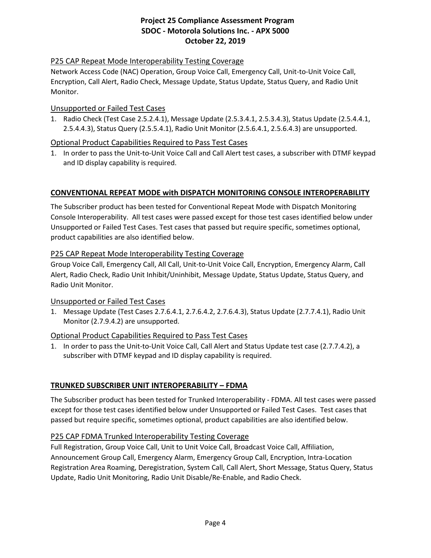# P25 CAP Repeat Mode Interoperability Testing Coverage

Network Access Code (NAC) Operation, Group Voice Call, Emergency Call, Unit-to-Unit Voice Call, Encryption, Call Alert, Radio Check, Message Update, Status Update, Status Query, and Radio Unit Monitor.

#### Unsupported or Failed Test Cases

 2.5.4.4.3), Status Query (2.5.5.4.1), Radio Unit Monitor (2.5.6.4.1, 2.5.6.4.3) are unsupported. 1. Radio Check (Test Case 2.5.2.4.1), Message Update (2.5.3.4.1, 2.5.3.4.3), Status Update (2.5.4.4.1,

# Optional Product Capabilities Required to Pass Test Cases

 and ID display capability is required. 1. In order to pass the Unit-to-Unit Voice Call and Call Alert test cases, a subscriber with DTMF keypad

# **CONVENTIONAL REPEAT MODE with DISPATCH MONITORING CONSOLE INTEROPERABILITY**

 Unsupported or Failed Test Cases. Test cases that passed but require specific, sometimes optional, The Subscriber product has been tested for Conventional Repeat Mode with Dispatch Monitoring Console Interoperability. All test cases were passed except for those test cases identified below under product capabilities are also identified below.

#### P25 CAP Repeat Mode Interoperability Testing Coverage

 Group Voice Call, Emergency Call, All Call, Unit-to-Unit Voice Call, Encryption, Emergency Alarm, Call Alert, Radio Check, Radio Unit Inhibit/Uninhibit, Message Update, Status Update, Status Query, and Radio Unit Monitor.

#### Unsupported or Failed Test Cases

 1. Message Update (Test Cases 2.7.6.4.1, 2.7.6.4.2, 2.7.6.4.3), Status Update (2.7.7.4.1), Radio Unit Monitor (2.7.9.4.2) are unsupported.

# Optional Product Capabilities Required to Pass Test Cases

 subscriber with DTMF keypad and ID display capability is required. 1. In order to pass the Unit-to-Unit Voice Call, Call Alert and Status Update test case (2.7.7.4.2), a

# **TRUNKED SUBSCRIBER UNIT INTEROPERABILITY – FDMA**

 except for those test cases identified below under Unsupported or Failed Test Cases. Test cases that passed but require specific, sometimes optional, product capabilities are also identified below. The Subscriber product has been tested for Trunked Interoperability - FDMA. All test cases were passed

# P25 CAP FDMA Trunked Interoperability Testing Coverage

 Full Registration, Group Voice Call, Unit to Unit Voice Call, Broadcast Voice Call, Affiliation, Announcement Group Call, Emergency Alarm, Emergency Group Call, Encryption, Intra-Location Registration Area Roaming, Deregistration, System Call, Call Alert, Short Message, Status Query, Status Update, Radio Unit Monitoring, Radio Unit Disable/Re-Enable, and Radio Check.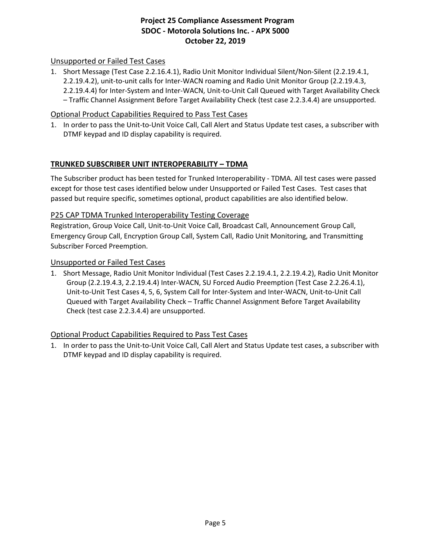# Unsupported or Failed Test Cases

1. Short Message (Test Case 2.2.16.4.1), Radio Unit Monitor Individual Silent/Non-Silent (2.2.19.4.1, 2.2.19.4.2), unit-to-unit calls for Inter-WACN roaming and Radio Unit Monitor Group (2.2.19.4.3, 2.2.19.4.4) for Inter-System and Inter-WACN, Unit-to-Unit Call Queued with Target Availability Check – Traffic Channel Assignment Before Target Availability Check (test case 2.2.3.4.4) are unsupported.

# Optional Product Capabilities Required to Pass Test Cases

1. In order to pass the Unit-to-Unit Voice Call, Call Alert and Status Update test cases, a subscriber with DTMF keypad and ID display capability is required.

# **TRUNKED SUBSCRIBER UNIT INTEROPERABILITY – TDMA**

 except for those test cases identified below under Unsupported or Failed Test Cases. Test cases that passed but require specific, sometimes optional, product capabilities are also identified below. The Subscriber product has been tested for Trunked Interoperability - TDMA. All test cases were passed

# P25 CAP TDMA Trunked Interoperability Testing Coverage

Registration, Group Voice Call, Unit-to-Unit Voice Call, Broadcast Call, Announcement Group Call, Emergency Group Call, Encryption Group Call, System Call, Radio Unit Monitoring, and Transmitting Subscriber Forced Preemption.

#### Unsupported or Failed Test Cases

 Unit-to-Unit Test Cases 4, 5, 6, System Call for Inter-System and Inter-WACN, Unit-to-Unit Call 1. Short Message, Radio Unit Monitor Individual (Test Cases 2.2.19.4.1, 2.2.19.4.2), Radio Unit Monitor Group (2.2.19.4.3, 2.2.19.4.4) Inter-WACN, SU Forced Audio Preemption (Test Case 2.2.26.4.1), Queued with Target Availability Check – Traffic Channel Assignment Before Target Availability Check (test case 2.2.3.4.4) are unsupported.

# Optional Product Capabilities Required to Pass Test Cases

DTMF keypad and ID display capability is required. 1. In order to pass the Unit-to-Unit Voice Call, Call Alert and Status Update test cases, a subscriber with DTMF keypad and ID display capability is required.<br>Page 5